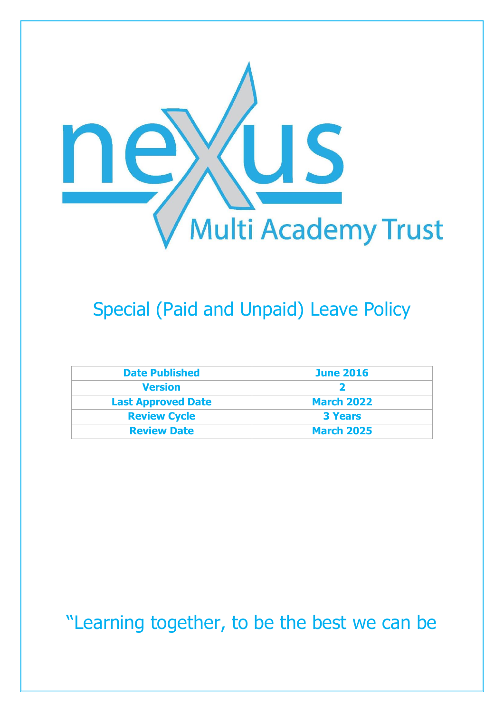

## Special (Paid and Unpaid) Leave Policy

| <b>Date Published</b>     | <b>June 2016</b>  |
|---------------------------|-------------------|
| <b>Version</b>            |                   |
| <b>Last Approved Date</b> | <b>March 2022</b> |
| <b>Review Cycle</b>       | <b>3 Years</b>    |
| <b>Review Date</b>        | <b>March 2025</b> |

"Learning together, to be the best we can be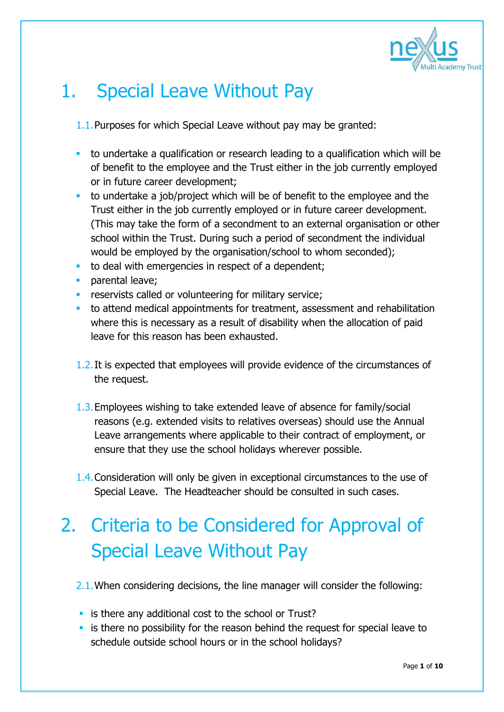

### 1. Special Leave Without Pay

1.1.Purposes for which Special Leave without pay may be granted:

- to undertake a qualification or research leading to a qualification which will be of benefit to the employee and the Trust either in the job currently employed or in future career development;
- to undertake a job/project which will be of benefit to the employee and the Trust either in the job currently employed or in future career development. (This may take the form of a secondment to an external organisation or other school within the Trust. During such a period of secondment the individual would be employed by the organisation/school to whom seconded);
- to deal with emergencies in respect of a dependent;
- **parental leave;**
- **FX** reservists called or volunteering for military service;
- to attend medical appointments for treatment, assessment and rehabilitation where this is necessary as a result of disability when the allocation of paid leave for this reason has been exhausted.
- 1.2.It is expected that employees will provide evidence of the circumstances of the request.
- 1.3.Employees wishing to take extended leave of absence for family/social reasons (e.g. extended visits to relatives overseas) should use the Annual Leave arrangements where applicable to their contract of employment, or ensure that they use the school holidays wherever possible.
- 1.4.Consideration will only be given in exceptional circumstances to the use of Special Leave. The Headteacher should be consulted in such cases.

# 2. Criteria to be Considered for Approval of Special Leave Without Pay

- 2.1.When considering decisions, the line manager will consider the following:
- **Ex is there any additional cost to the school or Trust?**
- **Example 1** is there no possibility for the reason behind the request for special leave to schedule outside school hours or in the school holidays?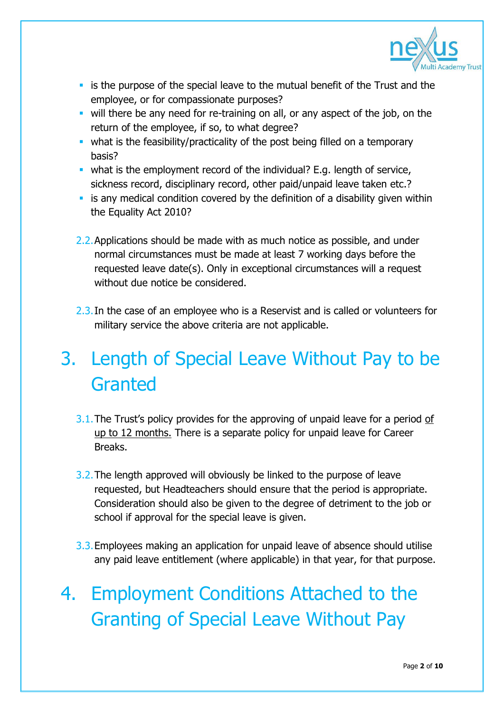

- **Example 1** is the purpose of the special leave to the mutual benefit of the Trust and the employee, or for compassionate purposes?
- will there be any need for re-training on all, or any aspect of the job, on the return of the employee, if so, to what degree?
- what is the feasibility/practicality of the post being filled on a temporary basis?
- what is the employment record of the individual? E.g. length of service, sickness record, disciplinary record, other paid/unpaid leave taken etc.?
- **EXT** is any medical condition covered by the definition of a disability given within the Equality Act 2010?
- 2.2. Applications should be made with as much notice as possible, and under normal circumstances must be made at least 7 working days before the requested leave date(s). Only in exceptional circumstances will a request without due notice be considered.
- 2.3. In the case of an employee who is a Reservist and is called or volunteers for military service the above criteria are not applicable.

# 3. Length of Special Leave Without Pay to be Granted

- 3.1. The Trust's policy provides for the approving of unpaid leave for a period of up to 12 months. There is a separate policy for unpaid leave for Career Breaks.
- 3.2.The length approved will obviously be linked to the purpose of leave requested, but Headteachers should ensure that the period is appropriate. Consideration should also be given to the degree of detriment to the job or school if approval for the special leave is given.
- 3.3.Employees making an application for unpaid leave of absence should utilise any paid leave entitlement (where applicable) in that year, for that purpose.
- 4. Employment Conditions Attached to the Granting of Special Leave Without Pay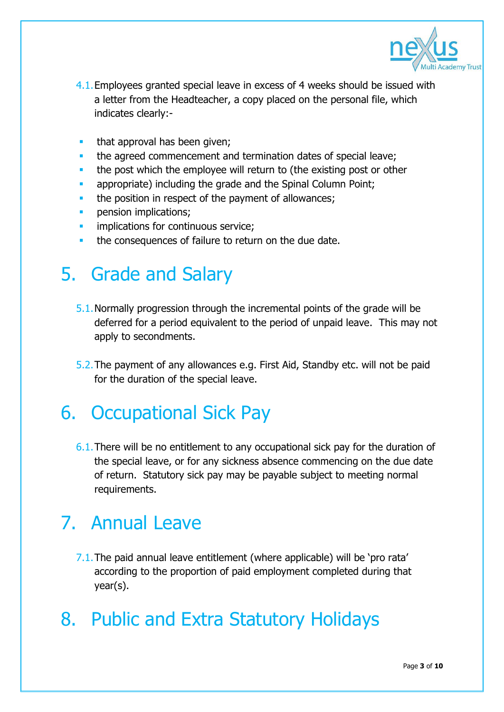

- 4.1.Employees granted special leave in excess of 4 weeks should be issued with a letter from the Headteacher, a copy placed on the personal file, which indicates clearly:-
- **that approval has been given;**
- the agreed commencement and termination dates of special leave;
- the post which the employee will return to (the existing post or other
- appropriate) including the grade and the Spinal Column Point;
- the position in respect of the payment of allowances;
- pension implications;
- implications for continuous service;
- the consequences of failure to return on the due date.

### 5. Grade and Salary

- 5.1.Normally progression through the incremental points of the grade will be deferred for a period equivalent to the period of unpaid leave. This may not apply to secondments.
- 5.2.The payment of any allowances e.g. First Aid, Standby etc. will not be paid for the duration of the special leave.

### 6. Occupational Sick Pay

6.1.There will be no entitlement to any occupational sick pay for the duration of the special leave, or for any sickness absence commencing on the due date of return. Statutory sick pay may be payable subject to meeting normal requirements.

## 7. Annual Leave

7.1.The paid annual leave entitlement (where applicable) will be 'pro rata' according to the proportion of paid employment completed during that year(s).

### 8. Public and Extra Statutory Holidays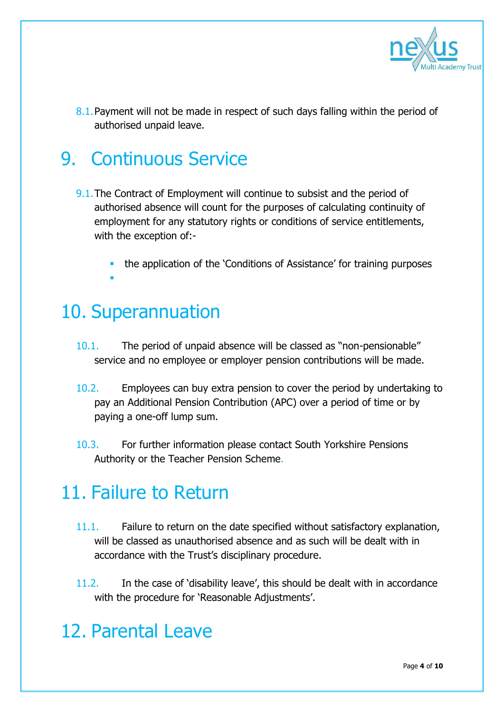

8.1. Payment will not be made in respect of such days falling within the period of authorised unpaid leave.

## 9. Continuous Service

- 9.1. The Contract of Employment will continue to subsist and the period of authorised absence will count for the purposes of calculating continuity of employment for any statutory rights or conditions of service entitlements, with the exception of:
	- the application of the 'Conditions of Assistance' for training purposes F

#### 10. Superannuation

- 10.1. The period of unpaid absence will be classed as "non-pensionable" service and no employee or employer pension contributions will be made.
- 10.2. Employees can buy extra pension to cover the period by undertaking to pay an Additional Pension Contribution (APC) over a period of time or by paying a one-off lump sum.
- 10.3. For further information please contact South Yorkshire Pensions Authority or the Teacher Pension Scheme.

#### 11. Failure to Return

- 11.1. Failure to return on the date specified without satisfactory explanation, will be classed as unauthorised absence and as such will be dealt with in accordance with the Trust's disciplinary procedure.
- 11.2. In the case of 'disability leave', this should be dealt with in accordance with the procedure for ['Reasonable Adjustments'.](https://rotherhamhrportal.rotherham.gov.uk/live/helpnotes/rotherham/docs/Disability-ReasonableAdjustments-Guidance.doc)

### 12. Parental Leave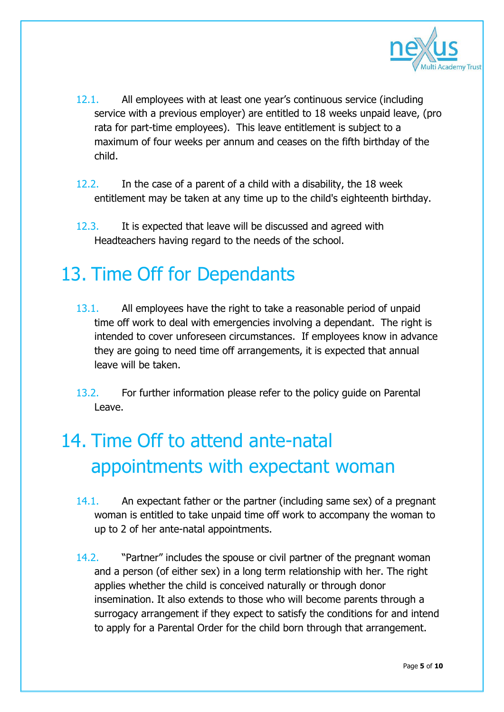

- 12.1. All employees with at least one year's continuous service (including service with a previous employer) are entitled to 18 weeks unpaid leave, (pro rata for part-time employees). This leave entitlement is subject to a maximum of four weeks per annum and ceases on the fifth birthday of the child.
- 12.2. In the case of a parent of a child with a disability, the 18 week entitlement may be taken at any time up to the child's eighteenth birthday.
- 12.3. It is expected that leave will be discussed and agreed with Headteachers having regard to the needs of the school.

#### 13. Time Off for Dependants

- 13.1. All employees have the right to take a reasonable period of unpaid time off work to deal with emergencies involving a dependant. The right is intended to cover unforeseen circumstances. If employees know in advance they are going to need time off arrangements, it is expected that annual leave will be taken.
- 13.2. For further information please refer to the policy guide on Parental Leave.

# 14. Time Off to attend ante-natal appointments with expectant woman

- 14.1. An expectant father or the partner (including same sex) of a pregnant woman is entitled to take unpaid time off work to accompany the woman to up to 2 of her ante-natal appointments.
- 14.2. "Partner" includes the spouse or civil partner of the pregnant woman and a person (of either sex) in a long term relationship with her. The right applies whether the child is conceived naturally or through donor insemination. It also extends to those who will become parents through a surrogacy arrangement if they expect to satisfy the conditions for and intend to apply for a Parental Order for the child born through that arrangement.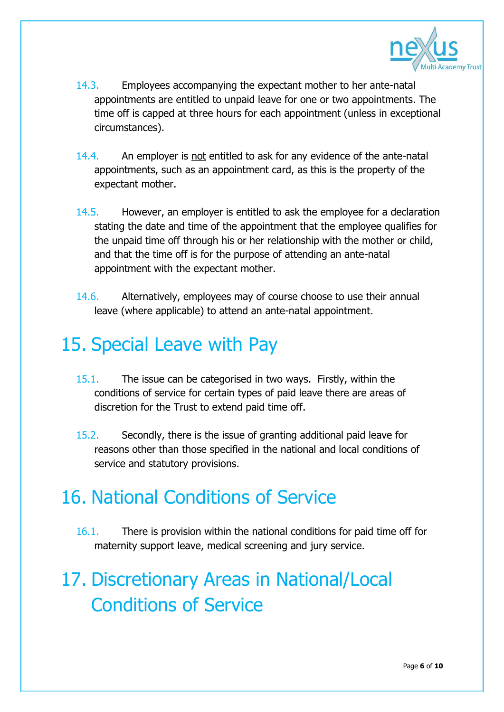

- 14.3. Employees accompanying the expectant mother to her ante-natal appointments are entitled to unpaid leave for one or two appointments. The time off is capped at three hours for each appointment (unless in exceptional circumstances).
- 14.4. An employer is not entitled to ask for any evidence of the ante-natal appointments, such as an appointment card, as this is the property of the expectant mother.
- 14.5. However, an employer is entitled to ask the employee for a declaration stating the date and time of the appointment that the employee qualifies for the unpaid time off through his or her relationship with the mother or child, and that the time off is for the purpose of attending an ante-natal appointment with the expectant mother.
- 14.6. Alternatively, employees may of course choose to use their annual leave (where applicable) to attend an ante-natal appointment.

### 15. Special Leave with Pay

- 15.1. The issue can be categorised in two ways. Firstly, within the conditions of service for certain types of paid leave there are areas of discretion for the Trust to extend paid time off.
- 15.2. Secondly, there is the issue of granting additional paid leave for reasons other than those specified in the national and local conditions of service and statutory provisions.

### 16. National Conditions of Service

16.1. There is provision within the national conditions for paid time off for [maternity support leave,](https://rotherhamhrportal.rotherham.gov.uk/live/helpnotes/rotherham/docs/PaternityPayandLeave-MaternityandAdoptionPolicy.doc) [medical screening](https://rotherhamhrportal.rotherham.gov.uk/live/helpnotes/rotherham/docs/CancerScreening.doc) and [jury service.](https://rotherhamhrportal.rotherham.gov.uk/live/helpnotes/rotherham/docs/JuryService.doc)

# 17. Discretionary Areas in National/Local Conditions of Service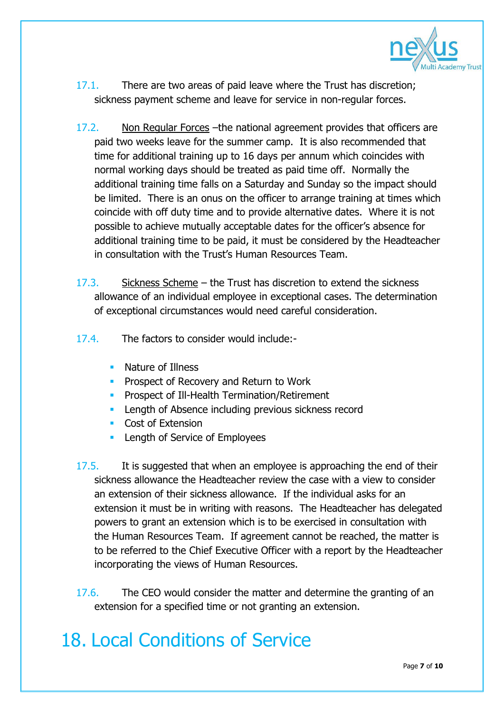

- 17.1. There are two areas of paid leave where the Trust has discretion; sickness payment scheme and leave for service in non-regular forces.
- 17.2. Non Regular Forces –the national agreement provides that officers are paid two weeks leave for the summer camp. It is also recommended that time for additional training up to 16 days per annum which coincides with normal working days should be treated as paid time off. Normally the additional training time falls on a Saturday and Sunday so the impact should be limited. There is an onus on the officer to arrange training at times which coincide with off duty time and to provide alternative dates. Where it is not possible to achieve mutually acceptable dates for the officer's absence for additional training time to be paid, it must be considered by the Headteacher in consultation with the Trust's Human Resources Team.
- 17.3. Sickness Scheme the Trust has discretion to extend the sickness allowance of an individual employee in exceptional cases. The determination of exceptional circumstances would need careful consideration.
- 17.4. The factors to consider would include:-
	- Nature of Illness
	- **Prospect of Recovery and Return to Work**
	- **Prospect of Ill-Health Termination/Retirement**
	- **EXECUTE:** Length of Absence including previous sickness record
	- **Cost of Extension**
	- **Length of Service of Employees**
- 17.5. It is suggested that when an employee is approaching the end of their sickness allowance the Headteacher review the case with a view to consider an extension of their sickness allowance. If the individual asks for an extension it must be in writing with reasons. The Headteacher has delegated powers to grant an extension which is to be exercised in consultation with the Human Resources Team. If agreement cannot be reached, the matter is to be referred to the Chief Executive Officer with a report by the Headteacher incorporating the views of Human Resources.
- 17.6. The CEO would consider the matter and determine the granting of an extension for a specified time or not granting an extension.

## 18. Local Conditions of Service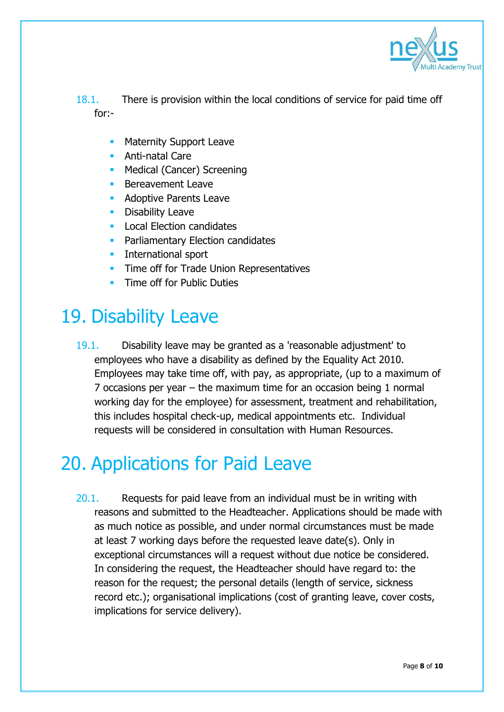

18.1. There is provision within the local conditions of service for paid time off for:-

- Maternity Support Leave
- **Anti-natal Care**
- **Medical (Cancer) Screening**
- Bereavement Leave
- Adoptive Parents Leave
- Disability Leave
- Local Election candidates
- **Parliamentary Election candidates**
- **International sport**
- Time off for Trade Union Representatives
- Time off for Public Duties

### 19. Disability Leave

19.1. Disability leave may be granted as a 'reasonable adjustment' to employees who have a disability as defined by the Equality Act 2010. Employees may take time off, with pay, as appropriate, (up to a maximum of 7 occasions per year – the maximum time for an occasion being 1 normal working day for the employee) for assessment, treatment and rehabilitation, this includes hospital check-up, medical appointments etc. Individual requests will be considered in consultation with Human Resources.

### 20. Applications for Paid Leave

20.1. Requests for paid leave from an individual must be in writing with reasons and submitted to the Headteacher. Applications should be made with as much notice as possible, and under normal circumstances must be made at least 7 working days before the requested leave date(s). Only in exceptional circumstances will a request without due notice be considered. In considering the request, the Headteacher should have regard to: the reason for the request; the personal details (length of service, sickness record etc.); organisational implications (cost of granting leave, cover costs, implications for service delivery).